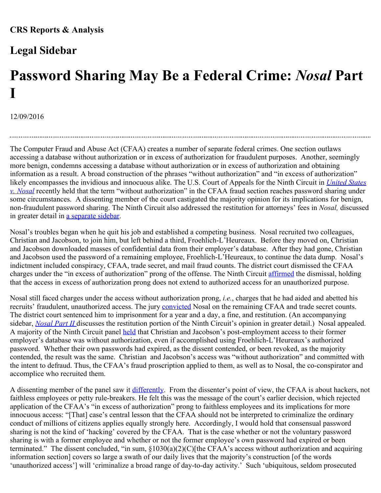## **Legal Sidebar**

## **[Password Sharing May Be a Federal Crime:](http://www.crs.gov/LegalSidebar/Details/1701)** *[Nosal](http://www.crs.gov/LegalSidebar/Details/1701)* **[Part](http://www.crs.gov/LegalSidebar/Details/1701) [I](http://www.crs.gov/LegalSidebar/Details/1701)**

12/09/2016

The Computer Fraud and Abuse Act (CFAA) creates a number of separate federal crimes. One section outlaws accessing a database without authorization or in excess of authorization for fraudulent purposes. Another, seemingly more benign, condemns accessing a database without authorization or in excess of authorization and obtaining information as a result. A broad construction of the phrases "without authorization" and "in excess of authorization" likely encompasses the invidious and innocuous alike. The U.S. Court of Appeals for the Ninth Circuit in *[United States](http://cdn.ca9.uscourts.gov/datastore/opinions/2016/07/05/14-10037.pdf) [v. Nosal](http://cdn.ca9.uscourts.gov/datastore/opinions/2016/07/05/14-10037.pdf)* recently held that the term "without authorization" in the CFAA fraud section reaches password sharing under some circumstances. A dissenting member of the court castigated the majority opinion for its implications for benign, non-fraudulent password sharing. The Ninth Circuit also addressed the restitution for attorneys' fees in *Nosal,* discussed in greater detail in a separate sidebar.

Nosal's troubles began when he quit his job and established a competing business. Nosal recruited two colleagues, Christian and Jacobson, to join him, but left behind a third, Froehlich-L'Heureaux. Before they moved on, Christian and Jacobson downloaded masses of confidential data from their employer's database. After they had gone, Christian and Jacobson used the password of a remaining employee, Froehlich-L'Heureaux, to continue the data dump. Nosal's indictment included conspiracy, CFAA, trade secret, and mail fraud counts. The district court dismissed the CFAA charges under the "in excess of authorization" prong of the offense. The Ninth Circuit [affirmed](http://caselaw.findlaw.com/summary/opinion/us-9th-circuit/2012/04/10/258665.html) the dismissal, holding that the access in excess of authorization prong does not extend to authorized access for an unauthorized purpose.

Nosal still faced charges under the access without authorization prong, *i.e.*, charges that he had aided and abetted his recruits' fraudulent, unauthorized access. The jury [convicted](https://jenner.com/system/assets/assets/8113/original/United_20States_20v._20Nosal.pdf) Nosal on the remaining CFAA and trade secret counts. The district court sentenced him to imprisonment for a year and a day, a fine, and restitution. (An accompanying sidebar, *[Nosal Part II](http://www.crs.gov/LegalSidebar/Details/1702)* discusses the restitution portion of the Ninth Circuit's opinion in greater detail.) Nosal appealed. A majority of the Ninth Circuit panel [held](http://cdn.ca9.uscourts.gov/datastore/opinions/2016/07/05/14-10037.pdf) that Christian and Jacobson's post-employment access to their former employer's database was without authorization, even if accomplished using Froehlich-L'Heureaux's authorized password. Whether their own passwords had expired, as the dissent contended, or been revoked, as the majority contended, the result was the same. Christian and Jacobson's access was "without authorization" and committed with the intent to defraud. Thus, the CFAA's fraud proscription applied to them, as well as to Nosal, the co-conspirator and accomplice who recruited them.

A dissenting member of the panel saw it [differently](http://cdn.ca9.uscourts.gov/datastore/opinions/2016/07/05/14-10037.pdf). From the dissenter's point of view, the CFAA is about hackers, not faithless employees or petty rule-breakers. He felt this was the message of the court's earlier decision, which rejected application of the CFAA's "in excess of authorization" prong to faithless employees and its implications for more innocuous access: "[That] case's central lesson that the CFAA should not be interpreted to criminalize the ordinary conduct of millions of citizens applies equally strongly here. Accordingly, I would hold that consensual password sharing is not the kind of 'hacking' covered by the CFAA. That is the case whether or not the voluntary password sharing is with a former employee and whether or not the former employee's own password had expired or been terminated." The dissent concluded, "in sum, §1030(a)(2)(C)[the CFAA's access without authorization and acquiring information section] covers so large a swath of our daily lives that the majority's construction [of the words 'unauthorized access'] will 'criminalize a broad range of day-to-day activity.' Such 'ubiquitous, seldom prosecuted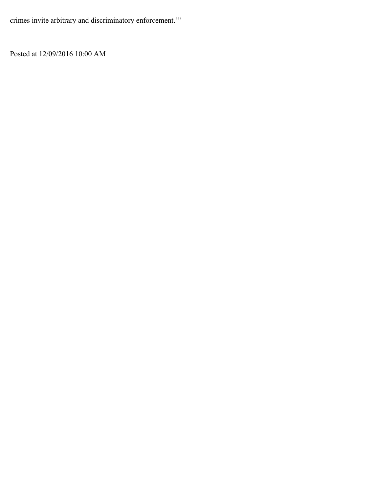crimes invite arbitrary and discriminatory enforcement.'"

Posted at 12/09/2016 10:00 AM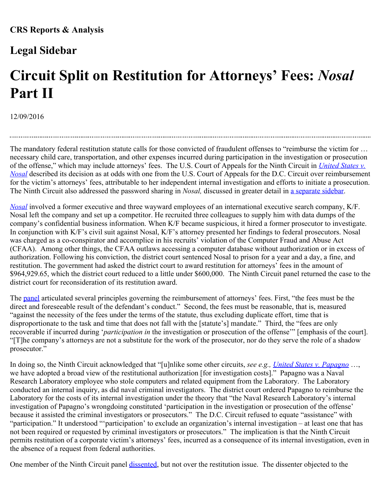## **Legal Sidebar**

## **[Circuit Split on Restitution for Attorneys' Fees:](http://www.crs.gov/LegalSidebar/Details/1702)** *[Nosal](http://www.crs.gov/LegalSidebar/Details/1702)* **[Part II](http://www.crs.gov/LegalSidebar/Details/1702)**

12/09/2016

The mandatory federal restitution statute calls for those convicted of fraudulent offenses to "reimburse the victim for … necessary child care, transportation, and other expenses incurred during participation in the investigation or prosecution of the offense," which may include attorneys' fees. The U.S. Court of Appeals for the Ninth Circuit in *[United States v.](http://cdn.ca9.uscourts.gov/datastore/opinions/2016/07/05/14-10037.pdf) [Nosal](http://cdn.ca9.uscourts.gov/datastore/opinions/2016/07/05/14-10037.pdf)* described its decision as at odds with one from the U.S. Court of Appeals for the D.C. Circuit over reimbursement for the victim's attorneys' fees, attributable to her independent internal investigation and efforts to initiate a prosecution. The Ninth Circuit also addressed the password sharing in *Nosal,* discussed in greater detail in a separate sidebar.

*[Nosal](http://cdn.ca9.uscourts.gov/datastore/opinions/2016/07/05/14-10037.pdf)* involved a former executive and three wayward employees of an international executive search company, K/F. Nosal left the company and set up a competitor. He recruited three colleagues to supply him with data dumps of the company's confidential business information. When K/F became suspicious, it hired a former prosecutor to investigate. In conjunction with K/F's civil suit against Nosal, K/F's attorney presented her findings to federal prosecutors. Nosal was charged as a co-conspirator and accomplice in his recruits' violation of the Computer Fraud and Abuse Act (CFAA). Among other things, the CFAA outlaws accessing a computer database without authorization or in excess of authorization. Following his conviction, the district court sentenced Nosal to prison for a year and a day, a fine, and restitution. The government had asked the district court to award restitution for attorneys' fees in the amount of \$964,929.65, which the district court reduced to a little under \$600,000. The Ninth Circuit panel returned the case to the district court for reconsideration of its restitution award.

The [panel](http://cdn.ca9.uscourts.gov/datastore/opinions/2016/07/05/14-10037.pdf) articulated several principles governing the reimbursement of attorneys' fees. First, "the fees must be the direct and foreseeable result of the defendant's conduct." Second, the fees must be reasonable, that is, measured "against the necessity of the fees under the terms of the statute, thus excluding duplicate effort, time that is disproportionate to the task and time that does not fall with the [statute's] mandate." Third, the "fees are only recoverable if incurred during '*participation in* the investigation or prosecution of the offense'" [emphasis of the court]. "[T]he company's attorneys are not a substitute for the work of the prosecutor, nor do they serve the role of a shadow prosecutor."

In doing so, the Ninth Circuit acknowledged that "[u]nlike some other circuits, *see e.g., [United States v. Papagno](https://www.cadc.uscourts.gov/internet/opinions.nsf/3E8E7D0F1E33CEFB8525787E004E1968/$file/09-3002-1304963.pdf)* …, we have adopted a broad view of the restitutional authorization [for investigation costs]." Papagno was a Naval Research Laboratory employee who stole computers and related equipment from the Laboratory. The Laboratory conducted an internal inquiry, as did naval criminal investigators. The district court ordered Papagno to reimburse the Laboratory for the costs of its internal investigation under the theory that "the Naval Research Laboratory's internal investigation of Papagno's wrongdoing constituted 'participation in the investigation or prosecution of the offense' because it assisted the criminal investigators or prosecutors." The D.C. Circuit refused to equate "assistance" with "participation." It understood "'participation' to exclude an organization's internal investigation – at least one that has not been required or requested by criminal investigators or prosecutors." The implication is that the Ninth Circuit permits restitution of a corporate victim's attorneys' fees, incurred as a consequence of its internal investigation, even in the absence of a request from federal authorities.

One member of the Ninth Circuit panel [dissented](http://cdn.ca9.uscourts.gov/datastore/opinions/2016/07/05/14-10037.pdf), but not over the restitution issue. The dissenter objected to the